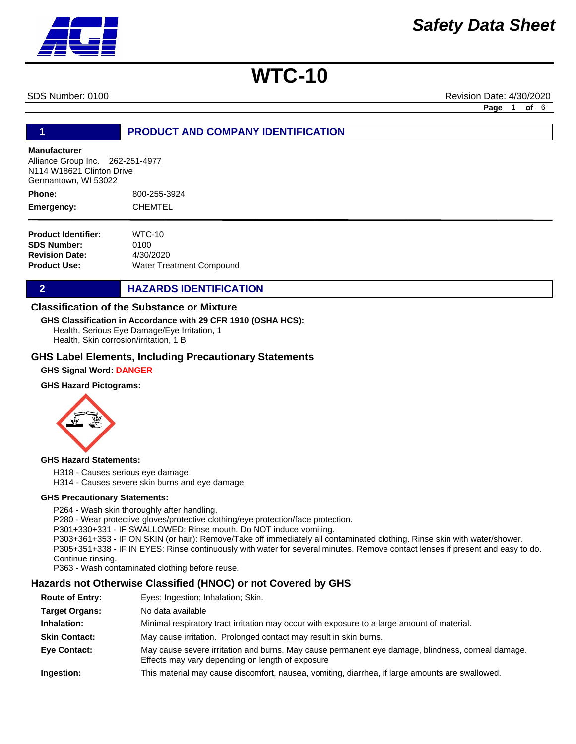SDS Number: 0100 Revision Date: 4/30/2020

**Page** 1 **of** 6

### **1 PRODUCT AND COMPANY IDENTIFICATION**

#### **Manufacturer**

Alliance Group Inc. 262-251-4977 N114 W18621 Clinton Drive Germantown, WI 53022

800-255-3924 **CHEMTEL Phone: Emergency:**

| $WTC-10$                        |
|---------------------------------|
| 0100                            |
| 4/30/2020                       |
| <b>Water Treatment Compound</b> |
|                                 |

### **2 HAZARDS IDENTIFICATION**

### **Classification of the Substance or Mixture**

Health, Serious Eye Damage/Eye Irritation, 1 Health, Skin corrosion/irritation, 1 B **GHS Classification in Accordance with 29 CFR 1910 (OSHA HCS):**

#### **GHS Label Elements, Including Precautionary Statements**

**GHS Signal Word: DANGER** 

#### **GHS Hazard Pictograms:**



#### **GHS Hazard Statements:**

H318 - Causes serious eye damage

H314 - Causes severe skin burns and eye damage

#### **GHS Precautionary Statements:**

P264 - Wash skin thoroughly after handling.

P280 - Wear protective gloves/protective clothing/eye protection/face protection.

P301+330+331 - IF SWALLOWED: Rinse mouth. Do NOT induce vomiting.

P303+361+353 - IF ON SKIN (or hair): Remove/Take off immediately all contaminated clothing. Rinse skin with water/shower. P305+351+338 - IF IN EYES: Rinse continuously with water for several minutes. Remove contact lenses if present and easy to do. Continue rinsing.

P363 - Wash contaminated clothing before reuse.

# **Hazards not Otherwise Classified (HNOC) or not Covered by GHS**

| <b>Route of Entry:</b> | Eyes; Ingestion; Inhalation; Skin.                                                                                                                    |
|------------------------|-------------------------------------------------------------------------------------------------------------------------------------------------------|
| <b>Target Organs:</b>  | No data available                                                                                                                                     |
| Inhalation:            | Minimal respiratory tract irritation may occur with exposure to a large amount of material.                                                           |
| <b>Skin Contact:</b>   | May cause irritation. Prolonged contact may result in skin burns.                                                                                     |
| <b>Eye Contact:</b>    | May cause severe irritation and burns. May cause permanent eye damage, blindness, corneal damage.<br>Effects may vary depending on length of exposure |
| Ingestion:             | This material may cause discomfort, nausea, vomiting, diarrhea, if large amounts are swallowed.                                                       |

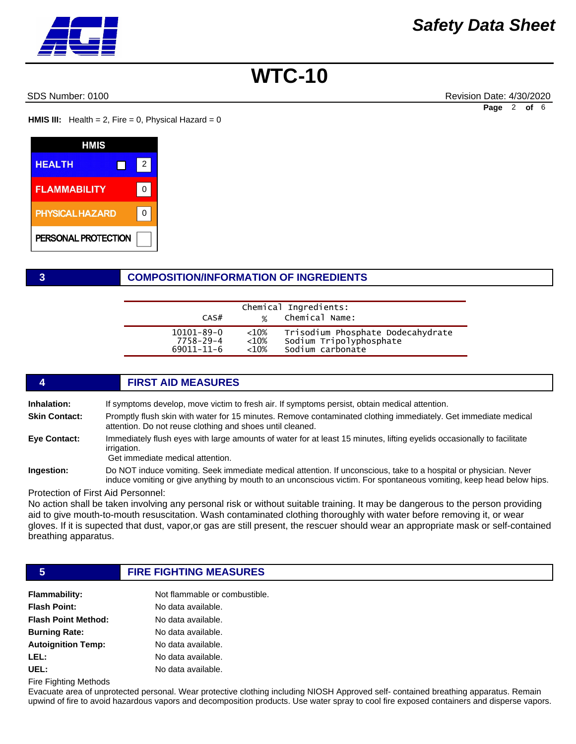SDS Number: 0100 Revision Date: 4/30/2020 **Page** 2 **of** 6

**HMIS III:** Health = 2, Fire = 0, Physical Hazard =  $0$ 

| HMIS                   |   |  |
|------------------------|---|--|
| <b>HEALTH</b>          | 2 |  |
| <b>FLAMMABILITY</b>    | U |  |
| <b>PHYSICAL HAZARD</b> |   |  |
| PERSONAL PROTECTION    |   |  |

### **3 COMPOSITION/INFORMATION OF INGREDIENTS**

| CAS#             | $\frac{1}{2}$ | Chemical Ingredients:<br>Chemical Name: |
|------------------|---------------|-----------------------------------------|
| $10101 - 89 - 0$ | ${<}10%$      | Trisodium Phosphate Dodecahydrate       |
| 7758-29-4        | ${<}10%$      | Sodium Tripolyphosphate                 |
| $69011 - 11 - 6$ | $<10\%$       | Sodium carbonate                        |

## **4 FIRST AID MEASURES**

**Inhalation:** If symptoms develop, move victim to fresh air. If symptoms persist, obtain medical attention.

**Skin Contact:** Promptly flush skin with water for 15 minutes. Remove contaminated clothing immediately. Get immediate medical attention. Do not reuse clothing and shoes until cleaned.

**Eye Contact:** Immediately flush eyes with large amounts of water for at least 15 minutes, lifting eyelids occasionally to facilitate irrigation.

Get immediate medical attention.

**Ingestion:** Do NOT induce vomiting. Seek immediate medical attention. If unconscious, take to a hospital or physician. Never induce vomiting or give anything by mouth to an unconscious victim. For spontaneous vomiting, keep head below hips.

Protection of First Aid Personnel:

No action shall be taken involving any personal risk or without suitable training. It may be dangerous to the person providing aid to give mouth-to-mouth resuscitation. Wash contaminated clothing thoroughly with water before removing it, or wear gloves. If it is supected that dust, vapor,or gas are still present, the rescuer should wear an appropriate mask or self-contained breathing apparatus.

# **5 FIRE FIGHTING MEASURES**

| <b>Flammability:</b>       | Not flammable or combustible. |
|----------------------------|-------------------------------|
| <b>Flash Point:</b>        | No data available.            |
| <b>Flash Point Method:</b> | No data available.            |
| <b>Burning Rate:</b>       | No data available.            |
| <b>Autoignition Temp:</b>  | No data available.            |
| LEL:                       | No data available.            |
| UEL:                       | No data available.            |

Fire Fighting Methods

Evacuate area of unprotected personal. Wear protective clothing including NIOSH Approved self- contained breathing apparatus. Remain upwind of fire to avoid hazardous vapors and decomposition products. Use water spray to cool fire exposed containers and disperse vapors.

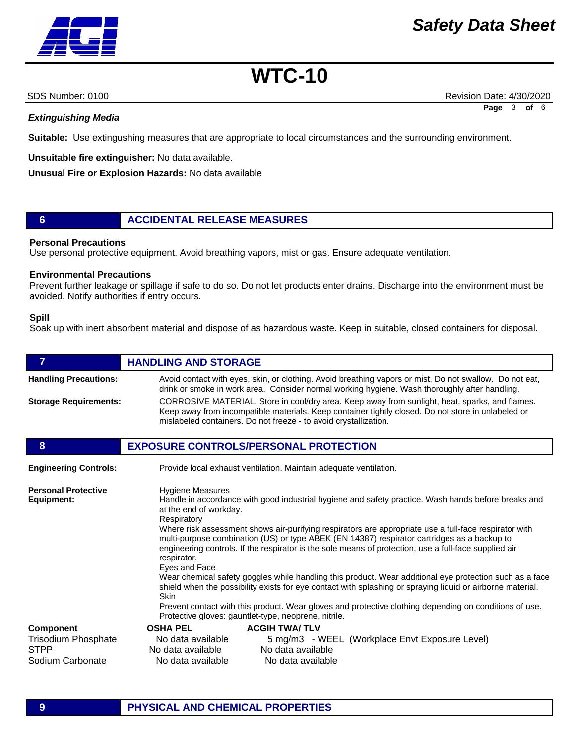*Extinguishing Media*

**Suitable:** Use extingushing measures that are appropriate to local circumstances and the surrounding environment.

**Unsuitable fire extinguisher:** No data available.

**Unusual Fire or Explosion Hazards:** No data available

# **6 ACCIDENTAL RELEASE MEASURES**

#### **Personal Precautions**

Use personal protective equipment. Avoid breathing vapors, mist or gas. Ensure adequate ventilation.

#### **Environmental Precautions**

Prevent further leakage or spillage if safe to do so. Do not let products enter drains. Discharge into the environment must be avoided. Notify authorities if entry occurs.

#### **Spill**

Soak up with inert absorbent material and dispose of as hazardous waste. Keep in suitable, closed containers for disposal.

| $\overline{7}$                                                | <b>HANDLING AND STORAGE</b>                                                                                                                                                                                                                                                                                                                                                                                                                                                                                                                                                                                                                                                                                                                                                                                                                                                                                                 |  |  |
|---------------------------------------------------------------|-----------------------------------------------------------------------------------------------------------------------------------------------------------------------------------------------------------------------------------------------------------------------------------------------------------------------------------------------------------------------------------------------------------------------------------------------------------------------------------------------------------------------------------------------------------------------------------------------------------------------------------------------------------------------------------------------------------------------------------------------------------------------------------------------------------------------------------------------------------------------------------------------------------------------------|--|--|
| <b>Handling Precautions:</b>                                  | Avoid contact with eyes, skin, or clothing. Avoid breathing vapors or mist. Do not swallow. Do not eat,<br>drink or smoke in work area. Consider normal working hygiene. Wash thoroughly after handling.                                                                                                                                                                                                                                                                                                                                                                                                                                                                                                                                                                                                                                                                                                                    |  |  |
| <b>Storage Requirements:</b>                                  | CORROSIVE MATERIAL. Store in cool/dry area. Keep away from sunlight, heat, sparks, and flames.<br>Keep away from incompatible materials. Keep container tightly closed. Do not store in unlabeled or<br>mislabeled containers. Do not freeze - to avoid crystallization.                                                                                                                                                                                                                                                                                                                                                                                                                                                                                                                                                                                                                                                    |  |  |
| 8                                                             | <b>EXPOSURE CONTROLS/PERSONAL PROTECTION</b>                                                                                                                                                                                                                                                                                                                                                                                                                                                                                                                                                                                                                                                                                                                                                                                                                                                                                |  |  |
| <b>Engineering Controls:</b>                                  | Provide local exhaust ventilation. Maintain adequate ventilation.                                                                                                                                                                                                                                                                                                                                                                                                                                                                                                                                                                                                                                                                                                                                                                                                                                                           |  |  |
| <b>Personal Protective</b><br>Equipment:                      | <b>Hygiene Measures</b><br>Handle in accordance with good industrial hygiene and safety practice. Wash hands before breaks and<br>at the end of workday.<br>Respiratory<br>Where risk assessment shows air-purifying respirators are appropriate use a full-face respirator with<br>multi-purpose combination (US) or type ABEK (EN 14387) respirator cartridges as a backup to<br>engineering controls. If the respirator is the sole means of protection, use a full-face supplied air<br>respirator.<br>Eyes and Face<br>Wear chemical safety goggles while handling this product. Wear additional eye protection such as a face<br>shield when the possibility exists for eye contact with splashing or spraying liquid or airborne material.<br>Skin<br>Prevent contact with this product. Wear gloves and protective clothing depending on conditions of use.<br>Protective gloves: gauntlet-type, neoprene, nitrile. |  |  |
| <b>Component</b>                                              | <b>OSHA PEL</b><br><b>ACGIH TWA/TLV</b>                                                                                                                                                                                                                                                                                                                                                                                                                                                                                                                                                                                                                                                                                                                                                                                                                                                                                     |  |  |
| <b>Trisodium Phosphate</b><br><b>STPP</b><br>Sodium Carbonate | No data available<br>5 mg/m3 - WEEL (Workplace Envt Exposure Level)<br>No data available<br>No data available<br>No data available<br>No data available                                                                                                                                                                                                                                                                                                                                                                                                                                                                                                                                                                                                                                                                                                                                                                     |  |  |

## **9 PHYSICAL AND CHEMICAL PROPERTIES**



SDS Number: 0100 Revision Date: 4/30/2020 **Page** 3 **of** 6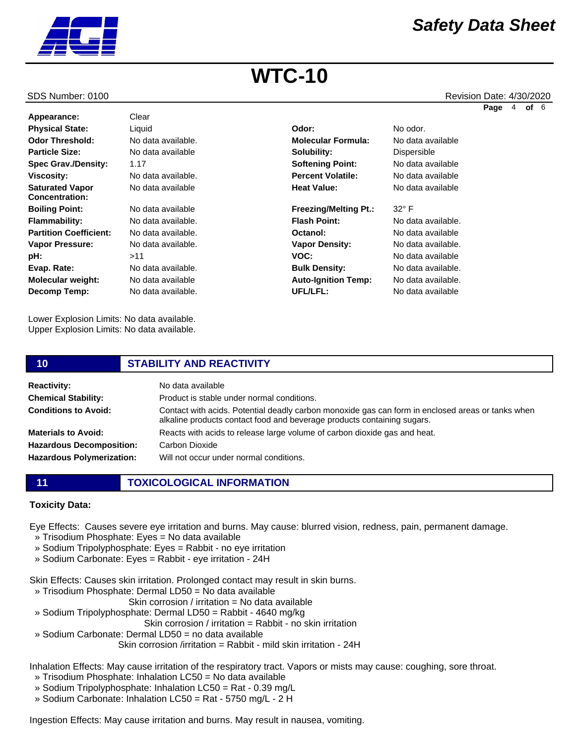

#### SDS Number: 0100 Revision Date: 4/30/2020

**Page** 4 **of** 6

| Appearance:                              | Clear              |                              |                    |
|------------------------------------------|--------------------|------------------------------|--------------------|
| <b>Physical State:</b>                   | Liquid             | Odor:                        | No odor.           |
| <b>Odor Threshold:</b>                   | No data available. | <b>Molecular Formula:</b>    | No data available  |
| <b>Particle Size:</b>                    | No data available  | Solubility:                  | Dispersible        |
| <b>Spec Grav./Density:</b>               | 1.17               | <b>Softening Point:</b>      | No data available  |
| <b>Viscosity:</b>                        | No data available. | <b>Percent Volatile:</b>     | No data available  |
| <b>Saturated Vapor</b><br>Concentration: | No data available  | <b>Heat Value:</b>           | No data available  |
| <b>Boiling Point:</b>                    | No data available  | <b>Freezing/Melting Pt.:</b> | $32^\circ$ F       |
| <b>Flammability:</b>                     | No data available. | <b>Flash Point:</b>          | No data available. |
| <b>Partition Coefficient:</b>            | No data available. | Octanol:                     | No data available  |
| <b>Vapor Pressure:</b>                   | No data available. | <b>Vapor Density:</b>        | No data available. |
| pH:                                      | >11                | VOC:                         | No data available  |
| Evap. Rate:                              | No data available. | <b>Bulk Density:</b>         | No data available. |
| Molecular weight:                        | No data available  | <b>Auto-Ignition Temp:</b>   | No data available. |
| Decomp Temp:                             | No data available. | UFL/LFL:                     | No data available  |
|                                          |                    |                              |                    |

Lower Explosion Limits: No data available. Upper Explosion Limits: No data available.

| 10                               | <b>STABILITY AND REACTIVITY</b>                                                                                                                                              |
|----------------------------------|------------------------------------------------------------------------------------------------------------------------------------------------------------------------------|
| <b>Reactivity:</b>               | No data available                                                                                                                                                            |
| <b>Chemical Stability:</b>       | Product is stable under normal conditions.                                                                                                                                   |
| <b>Conditions to Avoid:</b>      | Contact with acids. Potential deadly carbon monoxide gas can form in enclosed areas or tanks when<br>alkaline products contact food and beverage products containing sugars. |
| <b>Materials to Avoid:</b>       | Reacts with acids to release large volume of carbon dioxide gas and heat.                                                                                                    |
| <b>Hazardous Decomposition:</b>  | Carbon Dioxide                                                                                                                                                               |
| <b>Hazardous Polymerization:</b> | Will not occur under normal conditions.                                                                                                                                      |

**11 TOXICOLOGICAL INFORMATION**

#### **Toxicity Data:**

Eye Effects: Causes severe eye irritation and burns. May cause: blurred vision, redness, pain, permanent damage.

» Trisodium Phosphate: Eyes = No data available

» Sodium Tripolyphosphate: Eyes = Rabbit - no eye irritation

» Sodium Carbonate: Eyes = Rabbit - eye irritation - 24H

Skin Effects: Causes skin irritation. Prolonged contact may result in skin burns.

- » Trisodium Phosphate: Dermal LD50 = No data available
	- Skin corrosion / irritation = No data available
- » Sodium Tripolyphosphate: Dermal LD50 = Rabbit 4640 mg/kg

Skin corrosion / irritation = Rabbit - no skin irritation

» Sodium Carbonate: Dermal LD50 = no data available

Skin corrosion /irritation = Rabbit - mild skin irritation - 24H

Inhalation Effects: May cause irritation of the respiratory tract. Vapors or mists may cause: coughing, sore throat.

- » Trisodium Phosphate: Inhalation LC50 = No data available
- » Sodium Tripolyphosphate: Inhalation LC50 = Rat 0.39 mg/L
- » Sodium Carbonate: Inhalation LC50 = Rat 5750 mg/L 2 H

Ingestion Effects: May cause irritation and burns. May result in nausea, vomiting.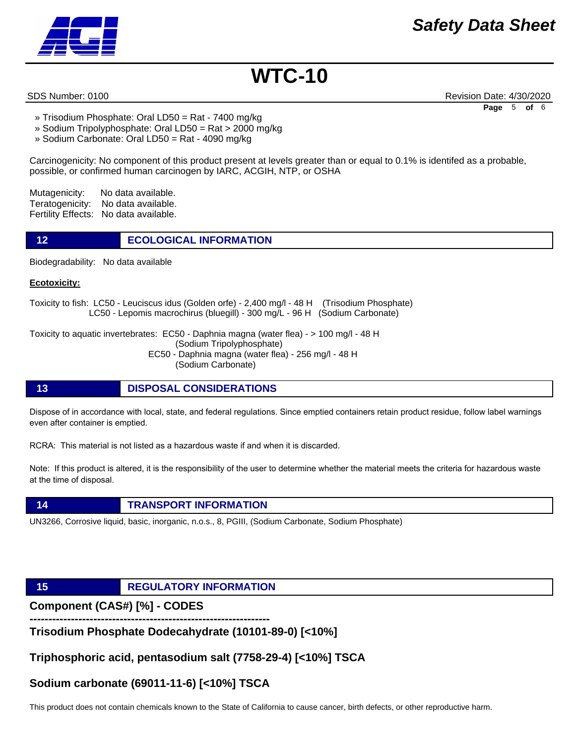

SDS Number: 0100 Revision Date: 4/30/2020 **Page** 5 **of** 6

- » Trisodium Phosphate: Oral LD50 = Rat 7400 mg/kg
- » Sodium Tripolyphosphate: Oral LD50 = Rat > 2000 mg/kg
- » Sodium Carbonate: Oral LD50 = Rat 4090 mg/kg

Carcinogenicity: No component of this product present at levels greater than or equal to 0.1% is identifed as a probable, possible, or confirmed human carcinogen by IARC, ACGIH, NTP, or OSHA

Mutagenicity: No data available. Teratogenicity: No data available. Fertility Effects: No data available.

**12 ECOLOGICAL INFORMATION** 

Biodegradability: No data available

#### **Ecotoxicity:**

Toxicity to fish: LC50 - Leuciscus idus (Golden orfe) - 2,400 mg/l - 48 H (Trisodium Phosphate) LC50 - Lepomis macrochirus (bluegill) - 300 mg/L - 96 H (Sodium Carbonate)

Toxicity to aquatic invertebrates: EC50 - Daphnia magna (water flea) - > 100 mg/l - 48 H (Sodium Tripolyphosphate) EC50 - Daphnia magna (water flea) - 256 mg/l - 48 H (Sodium Carbonate)

#### **13 DISPOSAL CONSIDERATIONS**

Dispose of in accordance with local, state, and federal regulations. Since emptied containers retain product residue, follow label warnings even after container is emptied.

RCRA: This material is not listed as a hazardous waste if and when it is discarded.

Note: If this product is altered, it is the responsibility of the user to determine whether the material meets the criteria for hazardous waste at the time of disposal.

#### **14 TRANSPORT INFORMATION**

UN3266, Corrosive liquid, basic, inorganic, n.o.s., 8, PGIII, (Sodium Carbonate, Sodium Phosphate)

# **15 REGULATORY INFORMATION**

**Component (CAS#) [%] - CODES** 

**---------------------------------------------------------------- Trisodium Phosphate Dodecahydrate (10101-89-0) [<10%]** 

**Triphosphoric acid, pentasodium salt (7758-29-4) [<10%] TSCA** 

# **Sodium carbonate (69011-11-6) [<10%] TSCA**

This product does not contain chemicals known to the State of California to cause cancer, birth defects, or other reproductive harm.